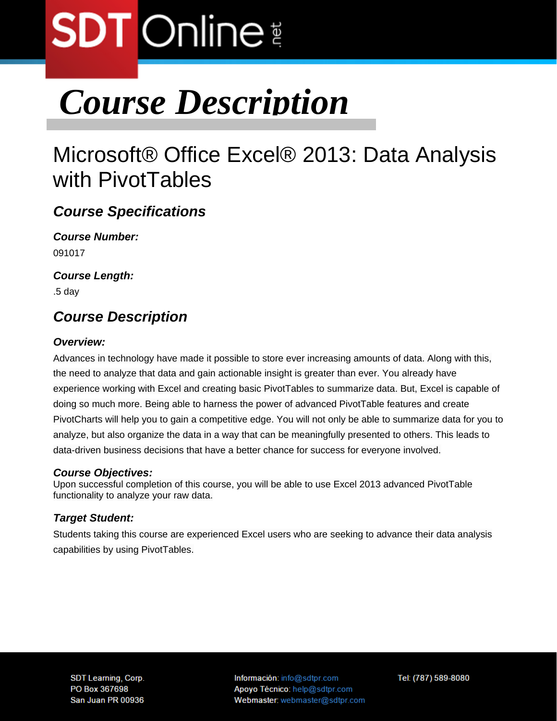# **SDT** Online

# *Course Description*

# Microsoft® Office Excel® 2013: Data Analysis with PivotTables

## *Course Specifications*

*Course Number:*  091017

*Course Length:* 

.5 day

### *Course Description*

### *Overview:*

Advances in technology have made it possible to store ever increasing amounts of data. Along with this, the need to analyze that data and gain actionable insight is greater than ever. You already have experience working with Excel and creating basic PivotTables to summarize data. But, Excel is capable of doing so much more. Being able to harness the power of advanced PivotTable features and create PivotCharts will help you to gain a competitive edge. You will not only be able to summarize data for you to analyze, but also organize the data in a way that can be meaningfully presented to others. This leads to data-driven business decisions that have a better chance for success for everyone involved.

### *Course Objectives:*

Upon successful completion of this course, you will be able to use Excel 2013 advanced PivotTable functionality to analyze your raw data.

### *Target Student:*

Students taking this course are experienced Excel users who are seeking to advance their data analysis capabilities by using PivotTables.

**SDT Learning, Corp.** PO Box 367698 San Juan PR 00936 Información: info@sdtpr.com Apoyo Técnico: help@sdtpr.com Webmaster: webmaster@sdtpr.com Tel: (787) 589-8080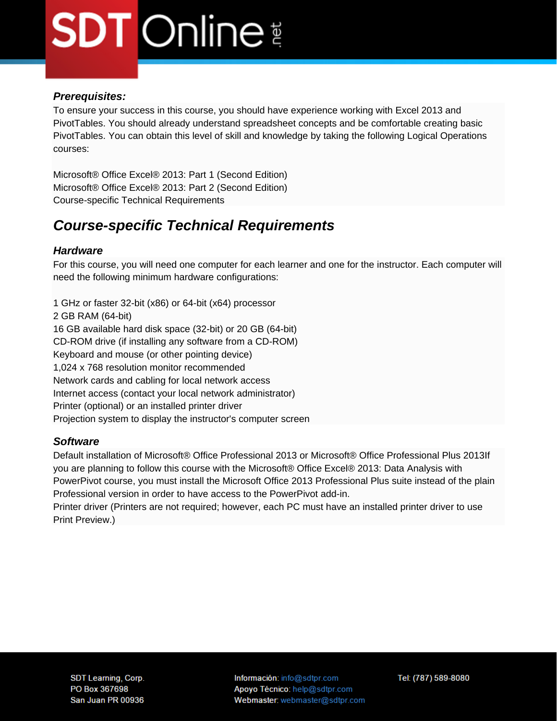# **SDT** Online

#### *Prerequisites:*

To ensure your success in this course, you should have experience working with Excel 2013 and PivotTables. You should already understand spreadsheet concepts and be comfortable creating basic PivotTables. You can obtain this level of skill and knowledge by taking the following Logical Operations courses:

Microsoft® Office Excel® 2013: Part 1 (Second Edition) Microsoft® Office Excel® 2013: Part 2 (Second Edition) Course-specific Technical Requirements

### *Course-specific Technical Requirements*

#### *Hardware*

For this course, you will need one computer for each learner and one for the instructor. Each computer will need the following minimum hardware configurations:

1 GHz or faster 32-bit (x86) or 64-bit (x64) processor 2 GB RAM (64-bit) 16 GB available hard disk space (32-bit) or 20 GB (64-bit) CD-ROM drive (if installing any software from a CD-ROM) Keyboard and mouse (or other pointing device) 1,024 x 768 resolution monitor recommended Network cards and cabling for local network access Internet access (contact your local network administrator) Printer (optional) or an installed printer driver Projection system to display the instructor's computer screen

#### *Software*

Default installation of Microsoft® Office Professional 2013 or Microsoft® Office Professional Plus 2013If you are planning to follow this course with the Microsoft® Office Excel® 2013: Data Analysis with PowerPivot course, you must install the Microsoft Office 2013 Professional Plus suite instead of the plain Professional version in order to have access to the PowerPivot add-in.

Printer driver (Printers are not required; however, each PC must have an installed printer driver to use Print Preview.)

Información: info@sdtpr.com Apoyo Técnico: help@sdtpr.com Webmaster: webmaster@sdtpr.com